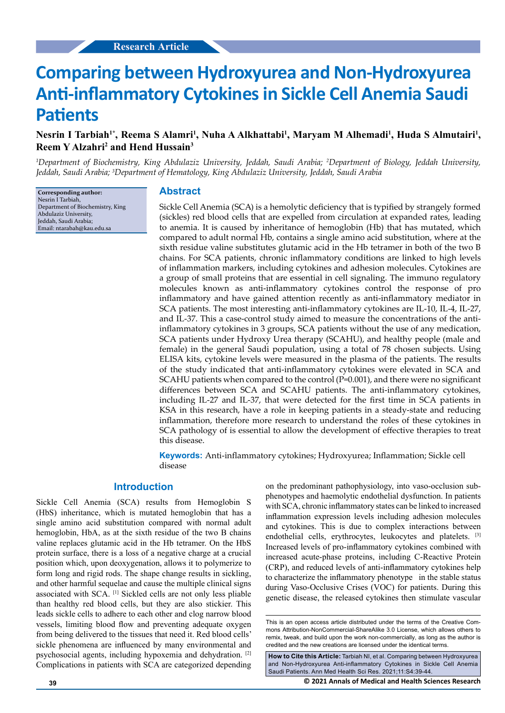# **Comparing between Hydroxyurea and Non-Hydroxyurea Anti-inflammatory Cytokines in Sickle Cell Anemia Saudi Patients**

# Nesrin I Tarbiah<sup>1\*</sup>, Reema S Alamri<sup>1</sup>, Nuha A Alkhattabi<sup>1</sup>, Maryam M Alhemadi<sup>1</sup>, Huda S Almutairi<sup>1</sup>, **Reem Y Alzahri2 and Hend Hussain3**

*1 Department of Biochemistry, King Abdulaziz University, Jeddah, Saudi Arabia; 2 Department of Biology, Jeddah University, Jeddah, Saudi Arabia; 3 Department of Hematology, King Abdulaziz University, Jeddah, Saudi Arabia*

**Corresponding author:** Nesrin I Tarbiah, Department of Biochemistry, King Abdulaziz University, Jeddah, Saudi Arabia; Email: ntarabah@kau.edu.sa

## **Abstract**

Sickle Cell Anemia (SCA) is a hemolytic deficiency that is typified by strangely formed (sickles) red blood cells that are expelled from circulation at expanded rates, leading to anemia. It is caused by inheritance of hemoglobin (Hb) that has mutated, which compared to adult normal Hb, contains a single amino acid substitution, where at the sixth residue valine substitutes glutamic acid in the Hb tetramer in both of the two B chains. For SCA patients, chronic inflammatory conditions are linked to high levels of inflammation markers, including cytokines and adhesion molecules. Cytokines are a group of small proteins that are essential in cell signaling. The immuno regulatory molecules known as anti-inflammatory cytokines control the response of pro inflammatory and have gained attention recently as anti-inflammatory mediator in SCA patients. The most interesting anti-inflammatory cytokines are IL-10, IL-4, IL-27, and IL-37. This a case-control study aimed to measure the concentrations of the antiinflammatory cytokines in 3 groups, SCA patients without the use of any medication, SCA patients under Hydroxy Urea therapy (SCAHU), and healthy people (male and female) in the general Saudi population, using a total of 78 chosen subjects. Using ELISA kits, cytokine levels were measured in the plasma of the patients. The results of the study indicated that anti-inflammatory cytokines were elevated in SCA and SCAHU patients when compared to the control (P=0.001), and there were no significant differences between SCA and SCAHU patients. The anti-inflammatory cytokines, including IL-27 and IL-37, that were detected for the first time in SCA patients in KSA in this research, have a role in keeping patients in a steady-state and reducing inflammation, therefore more research to understand the roles of these cytokines in SCA pathology of is essential to allow the development of effective therapies to treat this disease.

**Keywords:** Anti-inflammatory cytokines; Hydroxyurea; Inflammation; Sickle cell disease

## **Introduction**

Sickle Cell Anemia (SCA) results from Hemoglobin S (HbS) inheritance, which is mutated hemoglobin that has a single amino acid substitution compared with normal adult hemoglobin, HbA, as at the sixth residue of the two B chains valine replaces glutamic acid in the Hb tetramer. On the HbS protein surface, there is a loss of a negative charge at a crucial position which, upon deoxygenation, allows it to polymerize to form long and rigid rods. The shape change results in sickling, and other harmful sequelae and cause the multiple clinical signs associated with SCA. [1] Sickled cells are not only less pliable than healthy red blood cells, but they are also stickier. This leads sickle cells to adhere to each other and clog narrow blood vessels, limiting blood flow and preventing adequate oxygen from being delivered to the tissues that need it. Red blood cells' sickle phenomena are influenced by many environmental and psychosocial agents, including hypoxemia and dehydration. [2] Complications in patients with SCA are categorized depending on the predominant pathophysiology, into vaso-occlusion subphenotypes and haemolytic endothelial dysfunction. In patients with SCA, chronic inflammatory states can be linked to increased inflammation expression levels including adhesion molecules and cytokines. This is due to complex interactions between endothelial cells, erythrocytes, leukocytes and platelets. [3] Increased levels of pro-inflammatory cytokines combined with increased acute-phase proteins, including C-Reactive Protein (CRP), and reduced levels of anti-inflammatory cytokines help to characterize the inflammatory phenotype in the stable status during Vaso-Occlusive Crises (VOC) for patients. During this genetic disease, the released cytokines then stimulate vascular

**How to Cite this Article:** Tarbiah NI, et al. Comparing between Hydroxyurea and Non-Hydroxyurea Anti-inflammatory Cytokines in Sickle Cell Anemia Saudi Patients. Ann Med Health Sci Res. 2021;11:S4:39-44.

**39 © 2021 Annals of Medical and Health Sciences Research** 

This is an open access article distributed under the terms of the Creative Commons Attribution-NonCommercial-ShareAlike 3.0 License, which allows others to remix, tweak, and build upon the work non‑commercially, as long as the author is credited and the new creations are licensed under the identical terms.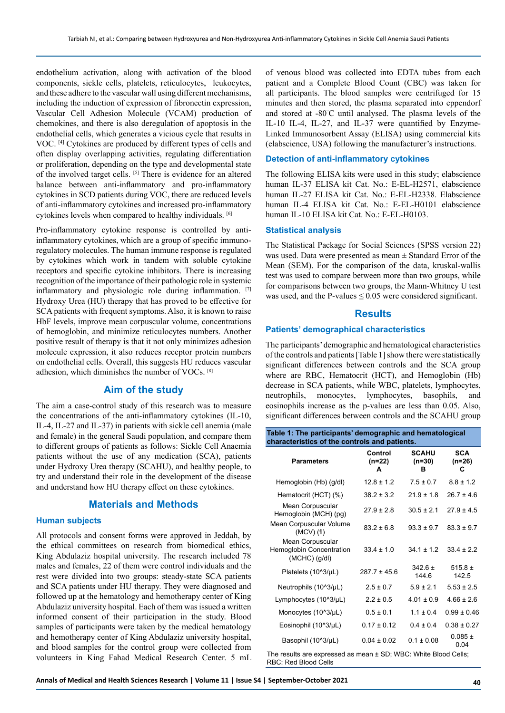endothelium activation, along with activation of the blood components, sickle cells, platelets, reticulocytes, leukocytes, and these adhere to the vascular wall using different mechanisms, including the induction of expression of fibronectin expression, Vascular Cell Adhesion Molecule (VCAM) production of chemokines, and there is also deregulation of apoptosis in the endothelial cells, which generates a vicious cycle that results in VOC. [4] Cytokines are produced by different types of cells and often display overlapping activities, regulating differentiation or proliferation, depending on the type and developmental state of the involved target cells. [5] There is evidence for an altered balance between anti-inflammatory and pro-inflammatory cytokines in SCD patients during VOC, there are reduced levels of anti-inflammatory cytokines and increased pro-inflammatory cytokines levels when compared to healthy individuals. [6]

Pro-inflammatory cytokine response is controlled by antiinflammatory cytokines, which are a group of specific immunoregulatory molecules. The human immune response is regulated by cytokines which work in tandem with soluble cytokine receptors and specific cytokine inhibitors. There is increasing recognition of the importance of their pathologic role in systemic inflammatory and physiologic role during inflammation. [7] Hydroxy Urea (HU) therapy that has proved to be effective for SCA patients with frequent symptoms. Also, it is known to raise HbF levels, improve mean corpuscular volume, concentrations of hemoglobin, and minimize reticulocytes numbers. Another positive result of therapy is that it not only minimizes adhesion molecule expression, it also reduces receptor protein numbers on endothelial cells. Overall, this suggests HU reduces vascular adhesion, which diminishes the number of VOCs. [8]

## **Aim of the study**

The aim a case-control study of this research was to measure the concentrations of the anti-inflammatory cytokines (IL-10, IL-4, IL-27 and IL-37) in patients with sickle cell anemia (male and female) in the general Saudi population, and compare them to different groups of patients as follows: Sickle Cell Anaemia patients without the use of any medication (SCA), patients under Hydroxy Urea therapy (SCAHU), and healthy people, to try and understand their role in the development of the disease and understand how HU therapy effect on these cytokines.

# **Materials and Methods**

#### **Human subjects**

All protocols and consent forms were approved in Jeddah, by the ethical committees on research from biomedical ethics, King Abdulaziz hospital university. The research included 78 males and females, 22 of them were control individuals and the rest were divided into two groups: steady-state SCA patients and SCA patients under HU therapy. They were diagnosed and followed up at the hematology and hemotherapy center of King Abdulaziz university hospital. Each of them was issued a written informed consent of their participation in the study. Blood samples of participants were taken by the medical hematology and hemotherapy center of King Abdulaziz university hospital, and blood samples for the control group were collected from volunteers in King Fahad Medical Research Center. 5 mL

of venous blood was collected into EDTA tubes from each patient and a Complete Blood Count (CBC) was taken for all participants. The blood samples were centrifuged for 15 minutes and then stored, the plasma separated into eppendorf and stored at -80° C until analysed. The plasma levels of the IL-10 IL-4, IL-27, and IL-37 were quantified by Enzyme-Linked Immunosorbent Assay (ELISA) using commercial kits (elabscience, USA) following the manufacturer's instructions.

#### **Detection of anti-inflammatory cytokines**

The following ELISA kits were used in this study; elabscience human IL-37 ELISA kit Cat. No.: E-EL-H2571, elabscience human IL-27 ELISA kit Cat. No.: E-EL-H2338. Elabscience human IL-4 ELISA kit Cat. No.: E-EL-H0101 elabscience human IL-10 ELISA kit Cat. No.: E-EL-H0103.

#### **Statistical analysis**

RBC: Red Blood Cells

The Statistical Package for Social Sciences (SPSS version 22) was used. Data were presented as mean  $\pm$  Standard Error of the Mean (SEM). For the comparison of the data, kruskal-wallis test was used to compare between more than two groups, while for comparisons between two groups, the Mann-Whitney U test was used, and the P-values  $\leq 0.05$  were considered significant.

## **Results**

## **Patients' demographical characteristics**

The participants' demographic and hematological characteristics of the controls and patients [Table 1] show there were statistically significant differences between controls and the SCA group where are RBC, Hematocrit (HCT), and Hemoglobin (Hb) decrease in SCA patients, while WBC, platelets, lymphocytes, neutrophils, monocytes, lymphocytes, basophils, and eosinophils increase as the p-values are less than 0.05. Also, significant differences between controls and the SCAHU group

| Table 1: The participants' demographic and hematological<br>characteristics of the controls and patients. |                        |                               |                             |
|-----------------------------------------------------------------------------------------------------------|------------------------|-------------------------------|-----------------------------|
| <b>Parameters</b>                                                                                         | Control<br>(n=22)<br>A | <b>SCAHU</b><br>$(n=30)$<br>в | <b>SCA</b><br>$(n=26)$<br>C |
| Hemoglobin (Hb) (g/dl)                                                                                    | $12.8 \pm 1.2$         | $7.5 \pm 0.7$                 | $8.8 \pm 1.2$               |
| Hematocrit (HCT) (%)                                                                                      | $38.2 \pm 3.2$         | $21.9 \pm 1.8$                | $26.7 \pm 4.6$              |
| Mean Corpuscular<br>Hemoglobin (MCH) (pg)                                                                 | $27.9 \pm 2.8$         | $30.5 \pm 2.1$                | $27.9 \pm 4.5$              |
| Mean Corpuscular Volume<br>$(MCV)$ (fl)                                                                   | $83.2 \pm 6.8$         | $93.3 \pm 9.7$                | $83.3 \pm 9.7$              |
| Mean Corpuscular<br>Hemoglobin Concentration<br>$(MCHC)$ $(g/dl)$                                         | $33.4 \pm 1.0$         | $34.1 \pm 1.2$                | $33.4 \pm 2.2$              |
| Platelets (10^3/µL)                                                                                       | $287.7 \pm 45.6$       | $342.6 \pm$<br>144.6          | $515.8 \pm$<br>142.5        |
| Neutrophils (10^3/µL)                                                                                     | $2.5 \pm 0.7$          | $5.9 \pm 2.1$                 | $5.53 \pm 2.5$              |
| Lymphocytes (10^3/µL)                                                                                     | $2.2 \pm 0.5$          | $4.01 \pm 0.9$                | $4.66 \pm 2.6$              |
| Monocytes (10^3/µL)                                                                                       | $0.5 \pm 0.1$          | $1.1 \pm 0.4$                 | $0.99 \pm 0.46$             |
| Eosinophil (10^3/µL)                                                                                      | $0.17 \pm 0.12$        | $0.4 \pm 0.4$                 | $0.38 \pm 0.27$             |
| Basophil (10^3/µL)                                                                                        | $0.04 \pm 0.02$        | $0.1 \pm 0.08$                | $0.085 \pm$<br>0.04         |
| The results are expressed as mean ± SD; WBC: White Blood Cells;                                           |                        |                               |                             |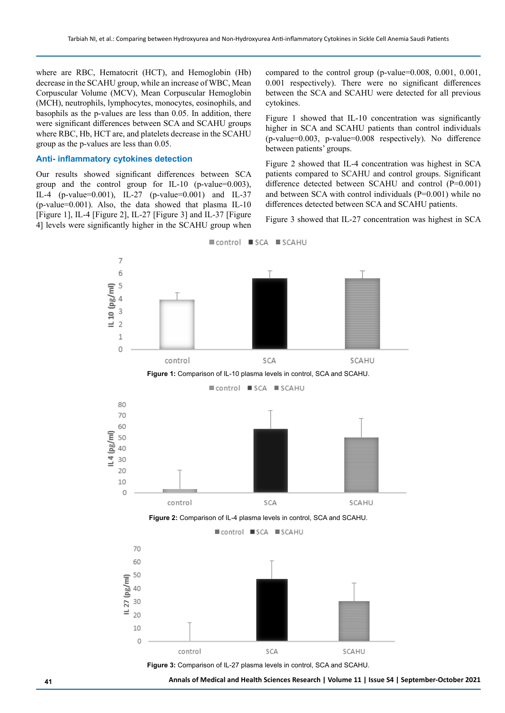where are RBC, Hematocrit (HCT), and Hemoglobin (Hb) decrease in the SCAHU group, while an increase of WBC, Mean Corpuscular Volume (MCV), Mean Corpuscular Hemoglobin (MCH), neutrophils, lymphocytes, monocytes, eosinophils, and basophils as the p-values are less than 0.05. In addition, there were significant differences between SCA and SCAHU groups where RBC, Hb, HCT are, and platelets decrease in the SCAHU group as the p-values are less than 0.05.

#### **Anti- inflammatory cytokines detection**

Our results showed significant differences between SCA group and the control group for IL-10 (p-value=0.003), IL-4 (p-value=0.001), IL-27 (p-value=0.001) and IL-37 (p-value=0.001). Also, the data showed that plasma IL-10 [Figure 1], IL-4 [Figure 2], IL-27 [Figure 3] and IL-37 [Figure 4] levels were significantly higher in the SCAHU group when

compared to the control group (p-value=0.008, 0.001, 0.001, 0.001 respectively). There were no significant differences between the SCA and SCAHU were detected for all previous cytokines.

Figure 1 showed that IL-10 concentration was significantly higher in SCA and SCAHU patients than control individuals (p-value=0.003, p-value=0.008 respectively). No difference between patients' groups.

Figure 2 showed that IL-4 concentration was highest in SCA patients compared to SCAHU and control groups. Significant difference detected between SCAHU and control (P=0.001) and between SCA with control individuals (P=0.001) while no differences detected between SCA and SCAHU patients.

Figure 3 showed that IL-27 concentration was highest in SCA



**41 Annals of Medical and Health Sciences Research | Volume 11 | Issue S4 | September-October 2021**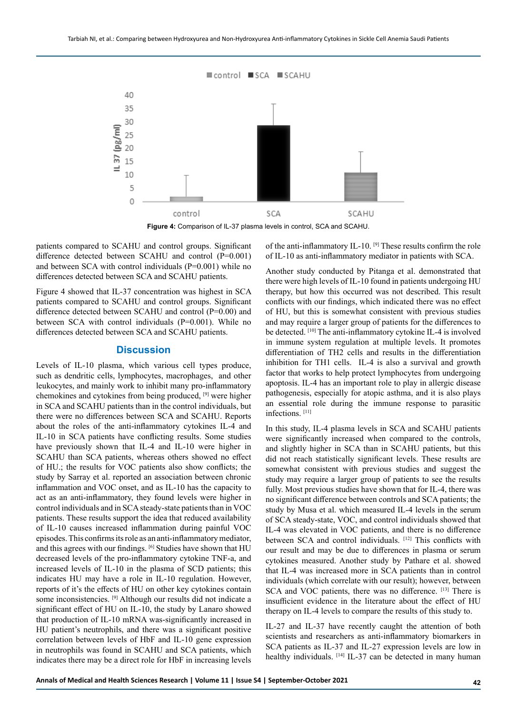

**Figure 4:** Comparison of IL-37 plasma levels in control, SCA and SCAHU.

patients compared to SCAHU and control groups. Significant difference detected between SCAHU and control (P=0.001) and between SCA with control individuals  $(P=0.001)$  while no differences detected between SCA and SCAHU patients.

Figure 4 showed that IL-37 concentration was highest in SCA patients compared to SCAHU and control groups. Significant difference detected between SCAHU and control (P=0.00) and between SCA with control individuals (P=0.001). While no differences detected between SCA and SCAHU patients.

## **Discussion**

Levels of IL-10 plasma, which various cell types produce, such as dendritic cells, lymphocytes, macrophages, and other leukocytes, and mainly work to inhibit many pro-inflammatory chemokines and cytokines from being produced, [9] were higher in SCA and SCAHU patients than in the control individuals, but there were no differences between SCA and SCAHU. Reports about the roles of the anti-inflammatory cytokines IL-4 and IL-10 in SCA patients have conflicting results. Some studies have previously shown that IL-4 and IL-10 were higher in SCAHU than SCA patients, whereas others showed no effect of HU.; the results for VOC patients also show conflicts; the study by Sarray et al. reported an association between chronic inflammation and VOC onset, and as IL-10 has the capacity to act as an anti-inflammatory, they found levels were higher in control individuals and in SCA steady-state patients than in VOC patients. These results support the idea that reduced availability of IL-10 causes increased inflammation during painful VOC episodes. This confirms its role as an anti-inflammatory mediator, and this agrees with our findings. [6] Studies have shown that HU decreased levels of the pro-inflammatory cytokine TNF-a, and increased levels of IL-10 in the plasma of SCD patients; this indicates HU may have a role in IL-10 regulation. However, reports of it's the effects of HU on other key cytokines contain some inconsistencies. [9] Although our results did not indicate a significant effect of HU on IL-10, the study by Lanaro showed that production of IL-10 mRNA was-significantly increased in HU patient's neutrophils, and there was a significant positive correlation between levels of HbF and IL-10 gene expression in neutrophils was found in SCAHU and SCA patients, which indicates there may be a direct role for HbF in increasing levels

of the anti-inflammatory IL-10. [9] These results confirm the role of IL-10 as anti-inflammatory mediator in patients with SCA.

Another study conducted by Pitanga et al. demonstrated that there were high levels of IL-10 found in patients undergoing HU therapy, but how this occurred was not described. This result conflicts with our findings, which indicated there was no effect of HU, but this is somewhat consistent with previous studies and may require a larger group of patients for the differences to be detected. [10] The anti-inflammatory cytokine IL-4 is involved in immune system regulation at multiple levels. It promotes differentiation of TH2 cells and results in the differentiation inhibition for TH1 cells. IL-4 is also a survival and growth factor that works to help protect lymphocytes from undergoing apoptosis. IL-4 has an important role to play in allergic disease pathogenesis, especially for atopic asthma, and it is also plays an essential role during the immune response to parasitic infections. [11]

In this study, IL-4 plasma levels in SCA and SCAHU patients were significantly increased when compared to the controls, and slightly higher in SCA than in SCAHU patients, but this did not reach statistically significant levels. These results are somewhat consistent with previous studies and suggest the study may require a larger group of patients to see the results fully. Most previous studies have shown that for IL-4, there was no significant difference between controls and SCA patients; the study by Musa et al. which measured IL-4 levels in the serum of SCA steady-state, VOC, and control individuals showed that IL-4 was elevated in VOC patients, and there is no difference between SCA and control individuals. [12] This conflicts with our result and may be due to differences in plasma or serum cytokines measured. Another study by Pathare et al. showed that IL-4 was increased more in SCA patients than in control individuals (which correlate with our result); however, between SCA and VOC patients, there was no difference. [13] There is insufficient evidence in the literature about the effect of HU therapy on IL-4 levels to compare the results of this study to.

IL-27 and IL-37 have recently caught the attention of both scientists and researchers as anti-inflammatory biomarkers in SCA patients as IL-37 and IL-27 expression levels are low in healthy individuals. [14] IL-37 can be detected in many human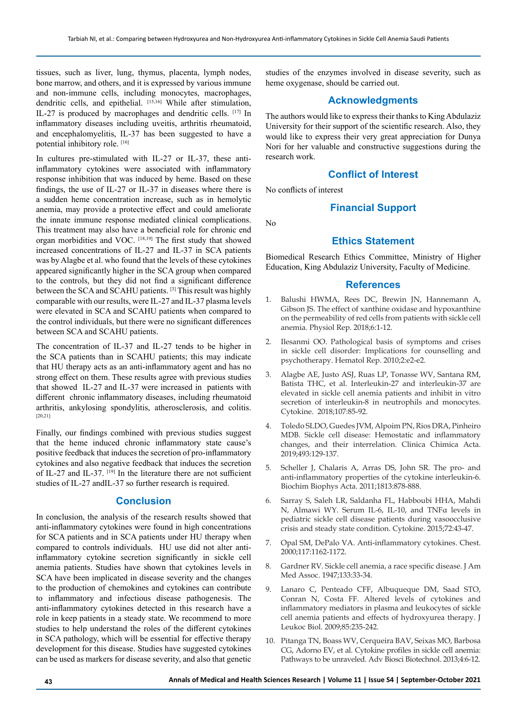tissues, such as liver, lung, thymus, placenta, lymph nodes, bone marrow, and others, and it is expressed by various immune and non-immune cells, including monocytes, macrophages, dendritic cells, and epithelial. [15,16] While after stimulation, IL-27 is produced by macrophages and dendritic cells. [17] In inflammatory diseases including uveitis, arthritis rheumatoid, and encephalomyelitis, IL-37 has been suggested to have a potential inhibitory role. [16]

In cultures pre-stimulated with IL-27 or IL-37, these antiinflammatory cytokines were associated with inflammatory response inhibition that was induced by heme. Based on these findings, the use of IL-27 or IL-37 in diseases where there is a sudden heme concentration increase, such as in hemolytic anemia, may provide a protective effect and could ameliorate the innate immune response mediated clinical complications. This treatment may also have a beneficial role for chronic end organ morbidities and VOC. [18,19] The first study that showed increased concentrations of IL-27 and IL-37 in SCA patients was by Alagbe et al. who found that the levels of these cytokines appeared significantly higher in the SCA group when compared to the controls, but they did not find a significant difference between the SCA and SCAHU patients. [3] This result was highly comparable with our results, were IL-27 and IL-37 plasma levels were elevated in SCA and SCAHU patients when compared to the control individuals, but there were no significant differences between SCA and SCAHU patients.

The concentration of IL-37 and IL-27 tends to be higher in the SCA patients than in SCAHU patients; this may indicate that HU therapy acts as an anti-inflammatory agent and has no strong effect on them. These results agree with previous studies that showed IL-27 and IL-37 were increased in patients with different chronic inflammatory diseases, including rheumatoid arthritis, ankylosing spondylitis, atherosclerosis, and colitis. [20,21]

Finally, our findings combined with previous studies suggest that the heme induced chronic inflammatory state cause's positive feedback that induces the secretion of pro-inflammatory cytokines and also negative feedback that induces the secretion of IL-27 and IL-37. [19] In the literature there are not sufficient studies of IL-27 andIL-37 so further research is required.

#### **Conclusion**

In conclusion, the analysis of the research results showed that anti-inflammatory cytokines were found in high concentrations for SCA patients and in SCA patients under HU therapy when compared to controls individuals. HU use did not alter antiinflammatory cytokine secretion significantly in sickle cell anemia patients. Studies have shown that cytokines levels in SCA have been implicated in disease severity and the changes to the production of chemokines and cytokines can contribute to inflammatory and infectious disease pathogenesis. The anti-inflammatory cytokines detected in this research have a role in keep patients in a steady state. We recommend to more studies to help understand the roles of the different cytokines in SCA pathology, which will be essential for effective therapy development for this disease. Studies have suggested cytokines can be used as markers for disease severity, and also that genetic studies of the enzymes involved in disease severity, such as heme oxygenase, should be carried out.

## **Acknowledgments**

The authors would like to express their thanks to King Abdulaziz University for their support of the scientific research. Also, they would like to express their very great appreciation for Dunya Nori for her valuable and constructive suggestions during the research work.

# **Conflict of Interest**

No conflicts of interest

# **Financial Support**

No

## **Ethics Statement**

Biomedical Research Ethics Committee, Ministry of Higher Education, King Abdulaziz University, Faculty of Medicine.

## **References**

- 1. Balushi HWMA, Rees DC, Brewin JN, Hannemann A, Gibson JS. The effect of xanthine oxidase and hypoxanthine on the permeability of red cells from patients with sickle cell anemia. Physiol Rep. 2018;6:1-12.
- Ilesanmi OO. Pathological basis of symptoms and crises in sickle cell disorder: Implications for counselling and psychotherapy. Hematol Rep. 2010;2:e2-e2.
- 3. Alagbe AE, Justo ASJ, Ruas LP, Tonasse WV, Santana RM, Batista THC, et al. Interleukin-27 and interleukin-37 are elevated in sickle cell anemia patients and inhibit in vitro secretion of interleukin-8 in neutrophils and monocytes. Cytokine. 2018;107:85-92.
- 4. Toledo SLDO, Guedes JVM, Alpoim PN, Rios DRA, Pinheiro MDB. Sickle cell disease: Hemostatic and inflammatory changes, and their interrelation. Clinica Chimica Acta. 2019;493:129-137.
- 5. Scheller J, Chalaris A, Arras DS, John SR. The pro- and anti-inflammatory properties of the cytokine interleukin-6. Biochim Biophys Acta. 2011;1813:878-888.
- 6. Sarray S, Saleh LR, Saldanha FL, Habboubi HHA, Mahdi N, Almawi WY. Serum IL-6, IL-10, and TNFα levels in pediatric sickle cell disease patients during vasoocclusive crisis and steady state condition. Cytokine. 2015;72:43-47.
- 7. Opal SM, DePalo VA. Anti-inflammatory cytokines. Chest. 2000;117:1162-1172.
- 8. Gardner RV. Sickle cell anemia, a race specific disease. J Am Med Assoc. 1947;133:33-34.
- 9. Lanaro C, Penteado CFF, Albuqueque DM, Saad STO, Conran N, Costa FF. Altered levels of cytokines and inflammatory mediators in plasma and leukocytes of sickle cell anemia patients and effects of hydroxyurea therapy. J Leukoc Biol. 2009;85:235-242.
- 10. Pitanga TN, Boass WV, Cerqueira BAV, Seixas MO, Barbosa CG, Adorno EV, et al. Cytokine profiles in sickle cell anemia: Pathways to be unraveled. Adv Biosci Biotechnol. 2013;4:6-12.